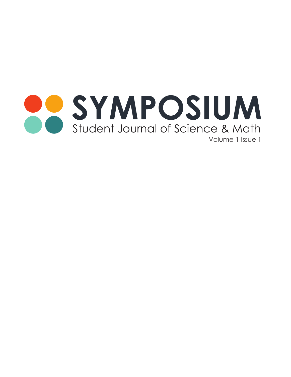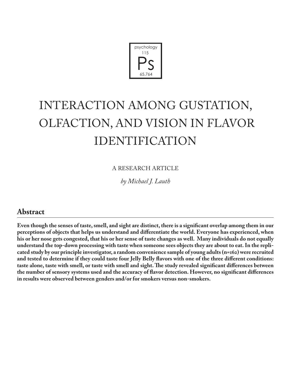

# INTERACTION AMONG GUSTATION, OLFACTION, AND VISION IN FLAVOR IDENTIFICATION

A RESEARCH ARTICLE

*by Michael J. Lauth*

# **Abstract**

**Even though the senses of taste, smell, and sight are distinct, there is a significant overlap among them in our perceptions of objects that helps us understand and differentiate the world. Everyone has experienced, when his or her nose gets congested, that his or her sense of taste changes as well. Many individuals do not equally understand the top-down processing with taste when someone sees objects they are about to eat. In the replicated study by our principle investigator, a random convenience sample of young adults (n=162) were recruited and tested to determine if they could taste four Jelly Belly flavors with one of the three different conditions: taste alone, taste with smell, or taste with smell and sight. The study revealed significant differences between the number of sensory systems used and the accuracy of flavor detection. However, no significant differences in results were observed between genders and/or for smokers versus non-smokers.**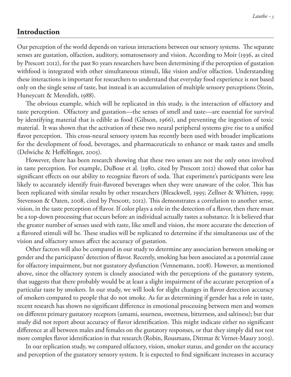# **Introduction**

Our perception of the world depends on various interactions between our sensory systems. The separate senses are gustation, olfaction, auditory, somatosensory and vision. According to Moir (1936, as cited by Prescott 2012), for the past 80 years researchers have been determining if the perception of gustation withfood is integrated with other simultaneous stimuli, like vision and/or olfaction. Understanding these interactions is important for researchers to understand that everyday food experience is not based only on the single sense of taste, but instead is an accumulation of multiple sensory perceptions (Stein, Huneycutt & Meredith, 1988).

The obvious example, which will be replicated in this study, is the interaction of olfactory and taste perception. Olfactory and gustation—the senses of smell and taste—are essential for survival by identifying material that is edible as food (Gibson, 1966), and preventing the ingestion of toxic material. It was shown that the activation of these two neural peripheral systems give rise to a unified flavor perception. This cross-neural sensory system has recently been used with broader implications for the development of food, beverages, and pharmaceuticals to enhance or mask tastes and smells (Delwiche & Heffelfinger, 2005).

However, there has been research showing that these two senses are not the only ones involved in taste perception. For example, DuBose et al. (1980, cited by Prescott 2012) showed that color has significant effects on our ability to recognize flavors of soda. That experiment's participants were less likely to accurately identify fruit-flavored beverages when they were unaware of the color. This has been replicated with similar results by other researchers (Bleackwell, 1995; Zellner & Whitten, 1999; Stevenson & Oaten, 2008, cited by Prescott, 2012). This demonstrates a correlation to another sense, vision, in the taste perception of flavor. If color plays a role in the detection of a flavor, then there must be a top-down processing that occurs before an individual actually tastes a substance. It is believed that the greater number of senses used with taste, like smell and vision, the more accurate the detection of a flavored stimuli will be. These studies will be replicated to determine if the simultaneous use of the vision and olfactory senses affect the accuracy of gustation.

Other factors will also be compared in our study to determine any association between smoking or gender and the participants' detection of flavor. Recently, smoking has been associated as a potential cause for olfactory impairment, but not gustatory dysfunction (Vennemann, 2008). However, as mentioned above, since the olfactory system is closely associated with the perceptions of the gustatory system, that suggests that there probably would be at least a slight impairment of the accurate perception of a particular taste by smokers. In our study, we will look for slight changes in flavor detection accuracy of smokers compared to people that do not smoke. As far as determining if gender has a role in taste, recent research has shown no significant difference in emotional processing between men and women on different primary gustatory receptors (umami, sourness, sweetness, bitterness, and saltiness); but that study did not report about accuracy of flavor identification. This might indicate either no significant difference at all between males and females on the gustatory responses, or that they simply did not test more complex flavor identification in that research (Robin, Rousmans, Dittmar & Vernet-Maury 2003).

In our replication study, we compared olfactory, vision, smoker status, and gender on the accuracy and perception of the gustatory sensory system. It is expected to find significant increases in accuracy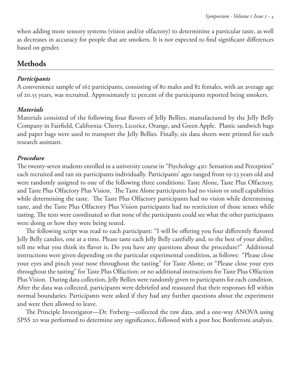when adding more sensory systems (vision and/or olfactory) to determinine a particular taste, as well as decreases in accuracy for people that are smokers. It is not expected to find significant differences based on gender.

# **Methods**

#### *Participants*

A convenience sample of 162 participants, consisting of 80 males and 82 females, with an average age of 20.55 years, was recruited. Approximately 12 percent of the participants reported being smokers.

### *Materials*

Materials consisted of the following four flavors of Jelly Bellies, manufactured by the Jelly Belly Company in Fairfield, California: Cherry, Licorice, Orange, and Green Apple. Plastic sandwich bags and paper bags were used to transport the Jelly Bellies. Finally, six data sheets were printed for each research assistant.

#### *Procedure*

The twenty-seven students enrolled in a university course in "Psychology 430: Sensation and Perception" each recruited and ran six participants individually. Participants' ages ranged from 19-23 years old and were randomly assigned to one of the following three conditions: Taste Alone, Taste Plus Olfactory, and Taste Plus Olfactory Plus Vision. The Taste Alone participants had no vision or smell capabilities while determining the taste. The Taste Plus Olfactory participants had no vision while determining taste, and the Taste Plus Olfactory Plus Vision participants had no restriction of those senses while tasting. The tests were coordinated so that none of the participants could see what the other participants were doing or how they were being tested.

The following script was read to each participant: "I will be offering you four differently flavored Jelly Belly candies, one at a time. Please taste each Jelly Belly carefully and, to the best of your ability, tell me what you think its flavor is. Do you have any questions about the procedure?" Additional instructions were given depending on the particular experimental condition, as follows: "Please close your eyes and pinch your nose throughout the tasting" for Taste Alone; or "Please close your eyes throughout the tasting" for Taste Plus Olfaction; or no additional instructions for Taste Plus Olfaction Plus Vision. During data collection, Jelly Bellies were randomly given to participants for each condition. After the data was collected, participants were debriefed and reassured that their responses fell within normal boundaries. Participants were asked if they had any further questions about the experiment and were then allowed to leave.

The Principle Investigator—Dr. Freberg—collected the raw data, and a one-way ANOVA using SPSS 20 was performed to determine any significance, followed with a post hoc Bonferroni analysis.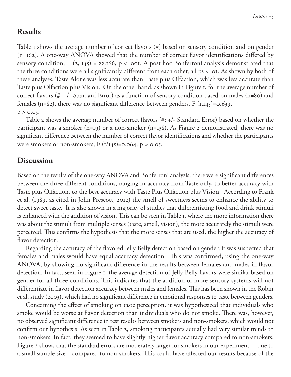### **Results**

Table 1 shows the average number of correct flavors (#) based on sensory condition and on gender (n=162). A one-way ANOVA showed that the number of correct flavor identifications differed by sensory condition,  $F (2, 145) = 22.166$ ,  $p < .0$ OI. A post hoc Bonferroni analysis demonstrated that the three conditions were all significantly different from each other, all ps < .01. As shown by both of these analyses, Taste Alone was less accurate than Taste plus Olfaction, which was less accurate than Taste plus Olfaction plus Vision. On the other hand, as shown in Figure 1, for the average number of correct flavors (#; +/- Standard Error) as a function of sensory condition based on males (n=80) and females (n=82), there was no significant difference between genders,  $F (I, I45)=0.639$ ,  $p > 0.05$ .

Table 2 shows the average number of correct flavors (#; +/- Standard Error) based on whether the participant was a smoker (n=19) or a non-smoker (n=138). As Figure 2 demonstrated, there was no significant difference between the number of correct flavor identifications and whether the participants were smokers or non-smokers,  $F (1/145)=0.064$ ,  $p > 0.05$ .

# **Discussion**

Based on the results of the one-way ANOVA and Bonferroni analysis, there were significant differences between the three different conditions, ranging in accuracy from Taste only, to better accuracy with Taste plus Olfaction, to the best accuracy with Taste Plus Olfaction plus Vision. According to Frank et al. (1989, as cited in John Prescott, 2012) the smell of sweetness seems to enhance the ability to detect sweet taste. It is also shown in a majority of studies that differentiating food and drink stimuli is enhanced with the addition of vision. This can be seen in Table 1, where the more information there was about the stimuli from multiple senses (taste, smell, vision), the more accurately the stimuli were perceived. This confirms the hypothesis that the more senses that are used, the higher the accuracy of flavor detection.

Regarding the accuracy of the flavored Jelly Belly detection based on gender, it was suspected that females and males would have equal accuracy detection. This was confirmed, using the one-way ANOVA, by showing no significant difference in the results between females and males in flavor detection. In fact, seen in Figure 1, the average detection of Jelly Belly flavors were similar based on gender for all three conditions. This indicates that the addition of more sensory systems will not differentiate in flavor detection accuracy between males and females. This has been shown in the Robin et al. study (2003), which had no significant difference in emotional responses to taste between genders.

Concerning the effect of smoking on taste perception, it was hypothesized that individuals who smoke would be worse at flavor detection than individuals who do not smoke. There was, however, no observed significant difference in test results between smokers and non-smokers, which would not confirm our hypothesis. As seen in Table 2, smoking participants actually had very similar trends to non-smokers. In fact, they seemed to have slightly higher flavor accuracy compared to non-smokers. Figure 2 shows that the standard errors are moderately larger for smokers in our experiment —due to a small sample size—compared to non-smokers. This could have affected our results because of the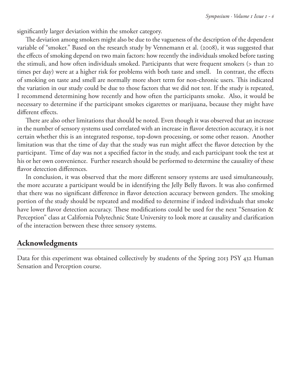significantly larger deviation within the smoker category.

The deviation among smokers might also be due to the vagueness of the description of the dependent variable of "smoker." Based on the research study by Vennemann et al. (2008), it was suggested that the effects of smoking depend on two main factors: how recently the individuals smoked before tasting the stimuli, and how often individuals smoked. Participants that were frequent smokers (> than 20 times per day) were at a higher risk for problems with both taste and smell. In contrast, the effects of smoking on taste and smell are normally more short term for non-chronic users. This indicated the variation in our study could be due to those factors that we did not test. If the study is repeated, I recommend determining how recently and how often the participants smoke. Also, it would be necessary to determine if the participant smokes cigarettes or marijuana, because they might have different effects.

There are also other limitations that should be noted. Even though it was observed that an increase in the number of sensory systems used correlated with an increase in flavor detection accuracy, it is not certain whether this is an integrated response, top-down processing, or some other reason. Another limitation was that the time of day that the study was run might affect the flavor detection by the participant. Time of day was not a specified factor in the study, and each participant took the test at his or her own convenience. Further research should be performed to determine the causality of these flavor detection differences.

In conclusion, it was observed that the more different sensory systems are used simultaneously, the more accurate a participant would be in identifying the Jelly Belly flavors. It was also confirmed that there was no significant difference in flavor detection accuracy between genders. The smoking portion of the study should be repeated and modified to determine if indeed individuals that smoke have lower flavor detection accuracy. These modifications could be used for the next "Sensation & Perception" class at California Polytechnic State University to look more at causality and clarification of the interaction between these three sensory systems.

# **Acknowledgments**

Data for this experiment was obtained collectively by students of the Spring 2013 PSY 432 Human Sensation and Perception course.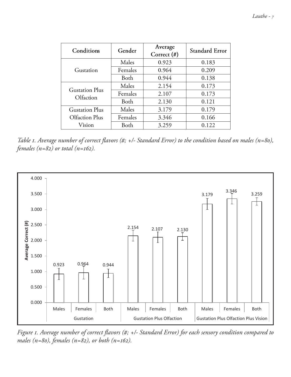| Conditions                              | Gender  | Average<br>Correct $(\#)$ | <b>Standard Error</b> |
|-----------------------------------------|---------|---------------------------|-----------------------|
| Gustation                               | Males   | 0.923                     | 0.183                 |
|                                         | Females | 0.964                     | 0.209                 |
|                                         | Both    | 0.944                     | 0.138                 |
| <b>Gustation Plus</b><br>Olfaction      | Males   | 2.154                     | 0.173                 |
|                                         | Females | 2.107                     | 0.173                 |
|                                         | Both    | 2.130                     | 0.121                 |
| <b>Gustation Plus</b><br>Olfaction Plus | Males   | 3.179                     | 0.179                 |
|                                         | Females | 3.346                     | 0.166                 |
| Vision                                  | Both    | 3.259                     | 0.122                 |

*Table 1. Average number of correct flavors (#; +/- Standard Error) to the condition based on males (n=80), females (n=82) or total (n=162).*



*Figure 1. Average number of correct flavors (#; +/- Standard Error) for each sensory condition compared to males (n=80), females (n=82), or both (n=162).*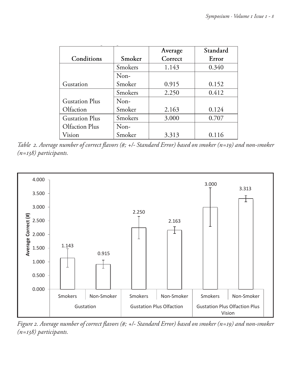|                       |         | Average | Standard |
|-----------------------|---------|---------|----------|
| Conditions            | Smoker  | Correct | Error    |
|                       | Smokers | 1.143   | 0.340    |
|                       | Non-    |         |          |
| Gustation             | Smoker  | 0.915   | 0.152    |
|                       | Smokers | 2.250   | 0.412    |
| <b>Gustation Plus</b> | Non-    |         |          |
| Olfaction             | Smoker  | 2.163   | 0.124    |
| <b>Gustation Plus</b> | Smokers | 3.000   | 0.707    |
| Olfaction Plus        | Non-    |         |          |
| Vision                | Smoker  | 3.313   | 0.116    |

*Table 2. Average number of correct flavors (#; +/- Standard Error) based on smoker (n=19) and non-smoker (n=138) participants.*



*Figure 2. Average number of correct flavors (#; +/- Standard Error) based on smoker (n=19) and non-smoker (n*) and mon-smoker  $\hat{C}$ *(n=138) participants.*